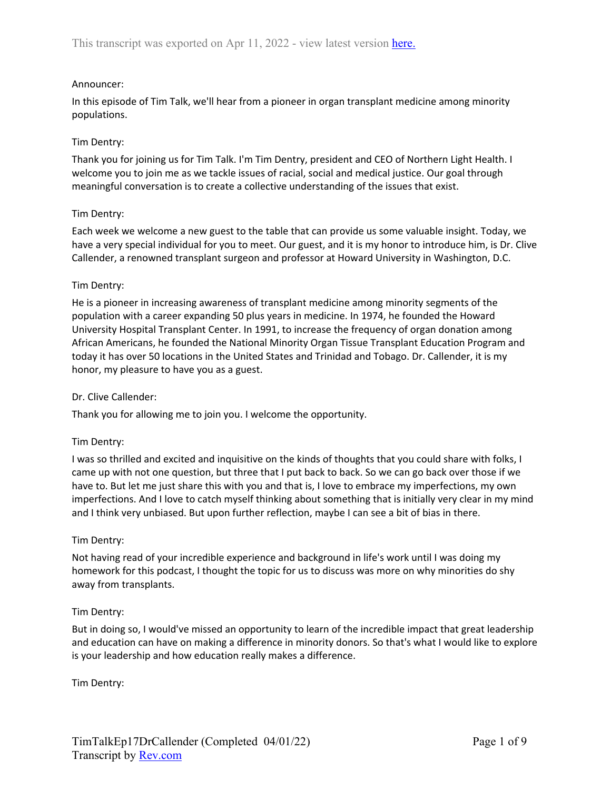# Announcer:

In this episode of Tim Talk, we'll hear from a pioneer in organ transplant medicine among minority populations.

# Tim Dentry:

Thank you for joining us for Tim Talk. I'm Tim Dentry, president and CEO of Northern Light Health. I welcome you to join me as we tackle issues of racial, social and medical justice. Our goal through meaningful conversation is to create a collective understanding of the issues that exist.

# Tim Dentry:

Each week we welcome a new guest to the table that can provide us some valuable insight. Today, we have a very special individual for you to meet. Our guest, and it is my honor to introduce him, is Dr. Clive Callender, a renowned transplant surgeon and professor at Howard University in Washington, D.C.

# Tim Dentry:

He is a pioneer in increasing awareness of transplant medicine among minority segments of the population with a career expanding 50 plus years in medicine. In 1974, he founded the Howard University Hospital Transplant Center. In 1991, to increase the frequency of organ donation among African Americans, he founded the National Minority Organ Tissue Transplant Education Program and today it has over 50 locations in the United States and Trinidad and Tobago. Dr. Callender, it is my honor, my pleasure to have you as a guest.

## Dr. Clive Callender:

Thank you for allowing me to join you. I welcome the opportunity.

## Tim Dentry:

I was so thrilled and excited and inquisitive on the kinds of thoughts that you could share with folks, I came up with not one question, but three that I put back to back. So we can go back over those if we have to. But let me just share this with you and that is, I love to embrace my imperfections, my own imperfections. And I love to catch myself thinking about something that is initially very clear in my mind and I think very unbiased. But upon further reflection, maybe I can see a bit of bias in there.

## Tim Dentry:

Not having read of your incredible experience and background in life's work until I was doing my homework for this podcast, I thought the topic for us to discuss was more on why minorities do shy away from transplants.

# Tim Dentry:

But in doing so, I would've missed an opportunity to learn of the incredible impact that great leadership and education can have on making a difference in minority donors. So that's what I would like to explore is your leadership and how education really makes a difference.

Tim Dentry: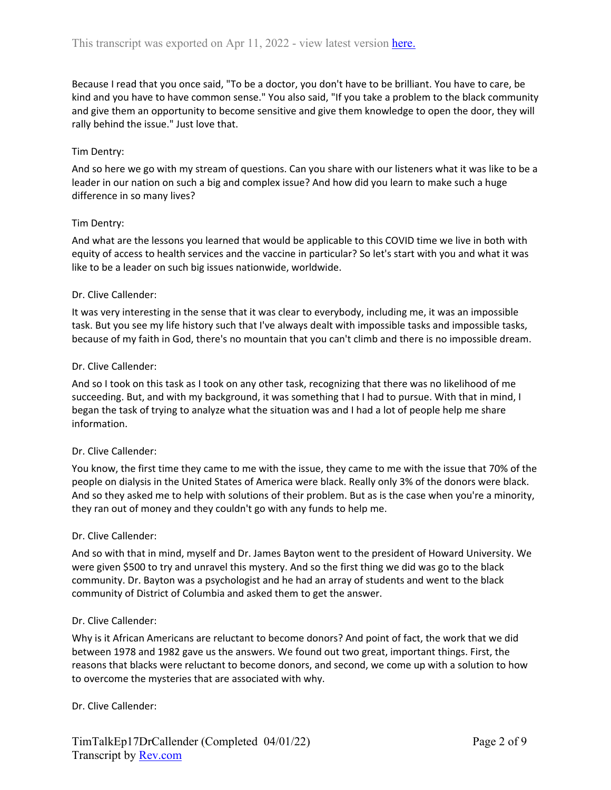Because I read that you once said, "To be a doctor, you don't have to be brilliant. You have to care, be kind and you have to have common sense." You also said, "If you take a problem to the black community and give them an opportunity to become sensitive and give them knowledge to open the door, they will rally behind the issue." Just love that.

## Tim Dentry:

And so here we go with my stream of questions. Can you share with our listeners what it was like to be a leader in our nation on such a big and complex issue? And how did you learn to make such a huge difference in so many lives?

#### Tim Dentry:

And what are the lessons you learned that would be applicable to this COVID time we live in both with equity of access to health services and the vaccine in particular? So let's start with you and what it was like to be a leader on such big issues nationwide, worldwide.

#### Dr. Clive Callender:

It was very interesting in the sense that it was clear to everybody, including me, it was an impossible task. But you see my life history such that I've always dealt with impossible tasks and impossible tasks, because of my faith in God, there's no mountain that you can't climb and there is no impossible dream.

#### Dr. Clive Callender:

And so I took on this task as I took on any other task, recognizing that there was no likelihood of me succeeding. But, and with my background, it was something that I had to pursue. With that in mind, I began the task of trying to analyze what the situation was and I had a lot of people help me share information.

## Dr. Clive Callender:

You know, the first time they came to me with the issue, they came to me with the issue that 70% of the people on dialysis in the United States of America were black. Really only 3% of the donors were black. And so they asked me to help with solutions of their problem. But as is the case when you're a minority, they ran out of money and they couldn't go with any funds to help me.

#### Dr. Clive Callender:

And so with that in mind, myself and Dr. James Bayton went to the president of Howard University. We were given \$500 to try and unravel this mystery. And so the first thing we did was go to the black community. Dr. Bayton was a psychologist and he had an array of students and went to the black community of District of Columbia and asked them to get the answer.

#### Dr. Clive Callender:

Why is it African Americans are reluctant to become donors? And point of fact, the work that we did between 1978 and 1982 gave us the answers. We found out two great, important things. First, the reasons that blacks were reluctant to become donors, and second, we come up with a solution to how to overcome the mysteries that are associated with why.

#### Dr. Clive Callender: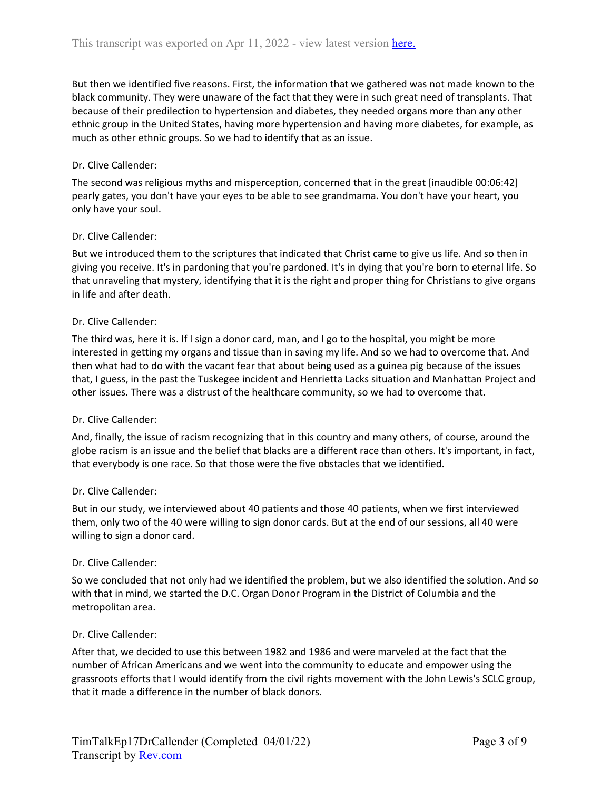But then we identified five reasons. First, the information that we gathered was not made known to the black community. They were unaware of the fact that they were in such great need of transplants. That because of their predilection to hypertension and diabetes, they needed organs more than any other ethnic group in the United States, having more hypertension and having more diabetes, for example, as much as other ethnic groups. So we had to identify that as an issue.

## Dr. Clive Callender:

The second was religious myths and misperception, concerned that in the great [inaudible 00:06:42] pearly gates, you don't have your eyes to be able to see grandmama. You don't have your heart, you only have your soul.

#### Dr. Clive Callender:

But we introduced them to the scriptures that indicated that Christ came to give us life. And so then in giving you receive. It's in pardoning that you're pardoned. It's in dying that you're born to eternal life. So that unraveling that mystery, identifying that it is the right and proper thing for Christians to give organs in life and after death.

#### Dr. Clive Callender:

The third was, here it is. If I sign a donor card, man, and I go to the hospital, you might be more interested in getting my organs and tissue than in saving my life. And so we had to overcome that. And then what had to do with the vacant fear that about being used as a guinea pig because of the issues that, I guess, in the past the Tuskegee incident and Henrietta Lacks situation and Manhattan Project and other issues. There was a distrust of the healthcare community, so we had to overcome that.

#### Dr. Clive Callender:

And, finally, the issue of racism recognizing that in this country and many others, of course, around the globe racism is an issue and the belief that blacks are a different race than others. It's important, in fact, that everybody is one race. So that those were the five obstacles that we identified.

#### Dr. Clive Callender:

But in our study, we interviewed about 40 patients and those 40 patients, when we first interviewed them, only two of the 40 were willing to sign donor cards. But at the end of our sessions, all 40 were willing to sign a donor card.

#### Dr. Clive Callender:

So we concluded that not only had we identified the problem, but we also identified the solution. And so with that in mind, we started the D.C. Organ Donor Program in the District of Columbia and the metropolitan area.

#### Dr. Clive Callender:

After that, we decided to use this between 1982 and 1986 and were marveled at the fact that the number of African Americans and we went into the community to educate and empower using the grassroots efforts that I would identify from the civil rights movement with the John Lewis's SCLC group, that it made a difference in the number of black donors.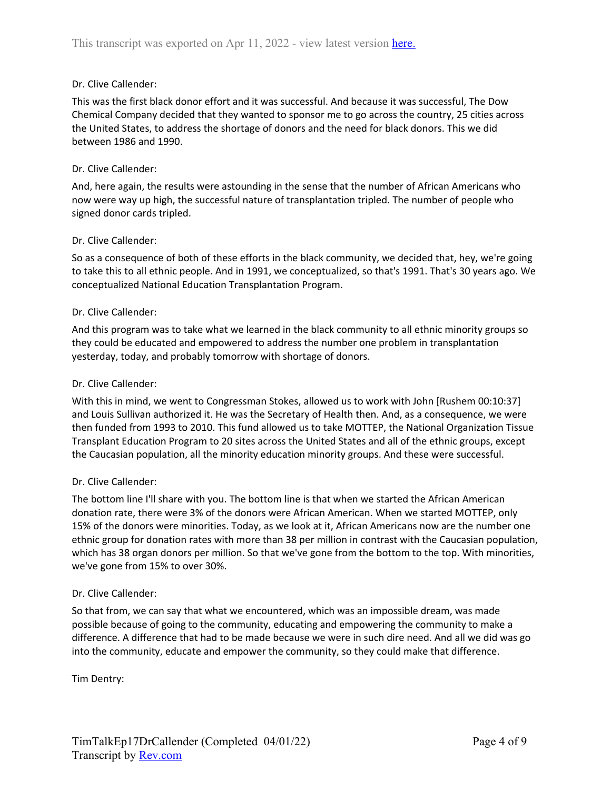# Dr. Clive Callender:

This was the first black donor effort and it was successful. And because it was successful, The Dow Chemical Company decided that they wanted to sponsor me to go across the country, 25 cities across the United States, to address the shortage of donors and the need for black donors. This we did between 1986 and 1990.

## Dr. Clive Callender:

And, here again, the results were astounding in the sense that the number of African Americans who now were way up high, the successful nature of transplantation tripled. The number of people who signed donor cards tripled.

## Dr. Clive Callender:

So as a consequence of both of these efforts in the black community, we decided that, hey, we're going to take this to all ethnic people. And in 1991, we conceptualized, so that's 1991. That's 30 years ago. We conceptualized National Education Transplantation Program.

# Dr. Clive Callender:

And this program was to take what we learned in the black community to all ethnic minority groups so they could be educated and empowered to address the number one problem in transplantation yesterday, today, and probably tomorrow with shortage of donors.

# Dr. Clive Callender:

With this in mind, we went to Congressman Stokes, allowed us to work with John [Rushem 00:10:37] and Louis Sullivan authorized it. He was the Secretary of Health then. And, as a consequence, we were then funded from 1993 to 2010. This fund allowed us to take MOTTEP, the National Organization Tissue Transplant Education Program to 20 sites across the United States and all of the ethnic groups, except the Caucasian population, all the minority education minority groups. And these were successful.

## Dr. Clive Callender:

The bottom line I'll share with you. The bottom line is that when we started the African American donation rate, there were 3% of the donors were African American. When we started MOTTEP, only 15% of the donors were minorities. Today, as we look at it, African Americans now are the number one ethnic group for donation rates with more than 38 per million in contrast with the Caucasian population, which has 38 organ donors per million. So that we've gone from the bottom to the top. With minorities, we've gone from 15% to over 30%.

## Dr. Clive Callender:

So that from, we can say that what we encountered, which was an impossible dream, was made possible because of going to the community, educating and empowering the community to make a difference. A difference that had to be made because we were in such dire need. And all we did was go into the community, educate and empower the community, so they could make that difference.

Tim Dentry: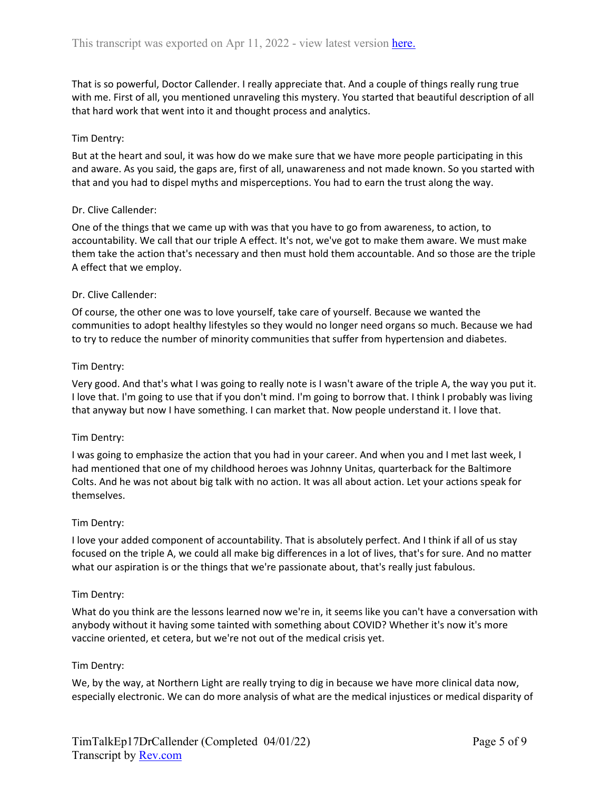That is so powerful, Doctor Callender. I really appreciate that. And a couple of things really rung true with me. First of all, you mentioned unraveling this mystery. You started that beautiful description of all that hard work that went into it and thought process and analytics.

## Tim Dentry:

But at the heart and soul, it was how do we make sure that we have more people participating in this and aware. As you said, the gaps are, first of all, unawareness and not made known. So you started with that and you had to dispel myths and misperceptions. You had to earn the trust along the way.

## Dr. Clive Callender:

One of the things that we came up with was that you have to go from awareness, to action, to accountability. We call that our triple A effect. It's not, we've got to make them aware. We must make them take the action that's necessary and then must hold them accountable. And so those are the triple A effect that we employ.

## Dr. Clive Callender:

Of course, the other one was to love yourself, take care of yourself. Because we wanted the communities to adopt healthy lifestyles so they would no longer need organs so much. Because we had to try to reduce the number of minority communities that suffer from hypertension and diabetes.

## Tim Dentry:

Very good. And that's what I was going to really note is I wasn't aware of the triple A, the way you put it. I love that. I'm going to use that if you don't mind. I'm going to borrow that. I think I probably was living that anyway but now I have something. I can market that. Now people understand it. I love that.

## Tim Dentry:

I was going to emphasize the action that you had in your career. And when you and I met last week, I had mentioned that one of my childhood heroes was Johnny Unitas, quarterback for the Baltimore Colts. And he was not about big talk with no action. It was all about action. Let your actions speak for themselves.

## Tim Dentry:

I love your added component of accountability. That is absolutely perfect. And I think if all of us stay focused on the triple A, we could all make big differences in a lot of lives, that's for sure. And no matter what our aspiration is or the things that we're passionate about, that's really just fabulous.

## Tim Dentry:

What do you think are the lessons learned now we're in, it seems like you can't have a conversation with anybody without it having some tainted with something about COVID? Whether it's now it's more vaccine oriented, et cetera, but we're not out of the medical crisis yet.

## Tim Dentry:

We, by the way, at Northern Light are really trying to dig in because we have more clinical data now, especially electronic. We can do more analysis of what are the medical injustices or medical disparity of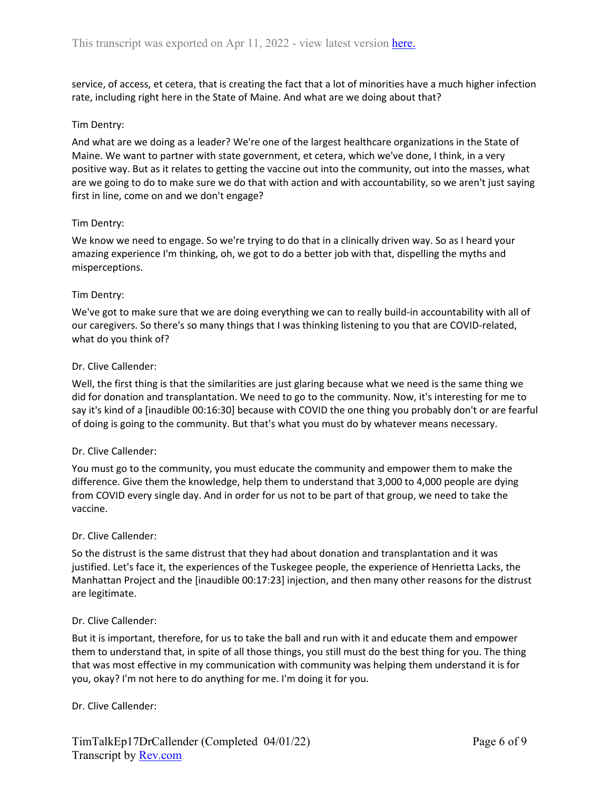service, of access, et cetera, that is creating the fact that a lot of minorities have a much higher infection rate, including right here in the State of Maine. And what are we doing about that?

## Tim Dentry:

And what are we doing as a leader? We're one of the largest healthcare organizations in the State of Maine. We want to partner with state government, et cetera, which we've done, I think, in a very positive way. But as it relates to getting the vaccine out into the community, out into the masses, what are we going to do to make sure we do that with action and with accountability, so we aren't just saying first in line, come on and we don't engage?

#### Tim Dentry:

We know we need to engage. So we're trying to do that in a clinically driven way. So as I heard your amazing experience I'm thinking, oh, we got to do a better job with that, dispelling the myths and misperceptions.

#### Tim Dentry:

We've got to make sure that we are doing everything we can to really build-in accountability with all of our caregivers. So there's so many things that I was thinking listening to you that are COVID-related, what do you think of?

#### Dr. Clive Callender:

Well, the first thing is that the similarities are just glaring because what we need is the same thing we did for donation and transplantation. We need to go to the community. Now, it's interesting for me to say it's kind of a [inaudible 00:16:30] because with COVID the one thing you probably don't or are fearful of doing is going to the community. But that's what you must do by whatever means necessary.

#### Dr. Clive Callender:

You must go to the community, you must educate the community and empower them to make the difference. Give them the knowledge, help them to understand that 3,000 to 4,000 people are dying from COVID every single day. And in order for us not to be part of that group, we need to take the vaccine.

#### Dr. Clive Callender:

So the distrust is the same distrust that they had about donation and transplantation and it was justified. Let's face it, the experiences of the Tuskegee people, the experience of Henrietta Lacks, the Manhattan Project and the [inaudible 00:17:23] injection, and then many other reasons for the distrust are legitimate.

#### Dr. Clive Callender:

But it is important, therefore, for us to take the ball and run with it and educate them and empower them to understand that, in spite of all those things, you still must do the best thing for you. The thing that was most effective in my communication with community was helping them understand it is for you, okay? I'm not here to do anything for me. I'm doing it for you.

## Dr. Clive Callender: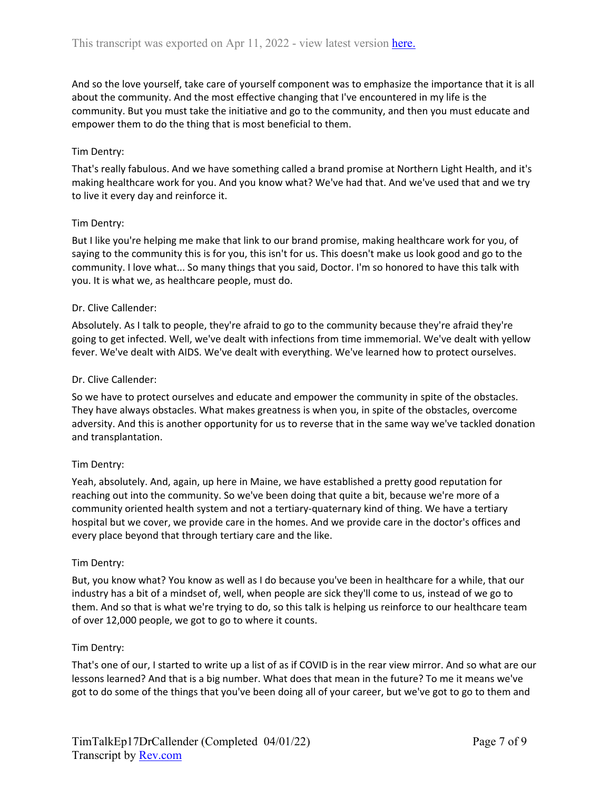And so the love yourself, take care of yourself component was to emphasize the importance that it is all about the community. And the most effective changing that I've encountered in my life is the community. But you must take the initiative and go to the community, and then you must educate and empower them to do the thing that is most beneficial to them.

## Tim Dentry:

That's really fabulous. And we have something called a brand promise at Northern Light Health, and it's making healthcare work for you. And you know what? We've had that. And we've used that and we try to live it every day and reinforce it.

#### Tim Dentry:

But I like you're helping me make that link to our brand promise, making healthcare work for you, of saying to the community this is for you, this isn't for us. This doesn't make us look good and go to the community. I love what... So many things that you said, Doctor. I'm so honored to have this talk with you. It is what we, as healthcare people, must do.

#### Dr. Clive Callender:

Absolutely. As I talk to people, they're afraid to go to the community because they're afraid they're going to get infected. Well, we've dealt with infections from time immemorial. We've dealt with yellow fever. We've dealt with AIDS. We've dealt with everything. We've learned how to protect ourselves.

#### Dr. Clive Callender:

So we have to protect ourselves and educate and empower the community in spite of the obstacles. They have always obstacles. What makes greatness is when you, in spite of the obstacles, overcome adversity. And this is another opportunity for us to reverse that in the same way we've tackled donation and transplantation.

## Tim Dentry:

Yeah, absolutely. And, again, up here in Maine, we have established a pretty good reputation for reaching out into the community. So we've been doing that quite a bit, because we're more of a community oriented health system and not a tertiary-quaternary kind of thing. We have a tertiary hospital but we cover, we provide care in the homes. And we provide care in the doctor's offices and every place beyond that through tertiary care and the like.

#### Tim Dentry:

But, you know what? You know as well as I do because you've been in healthcare for a while, that our industry has a bit of a mindset of, well, when people are sick they'll come to us, instead of we go to them. And so that is what we're trying to do, so this talk is helping us reinforce to our healthcare team of over 12,000 people, we got to go to where it counts.

#### Tim Dentry:

That's one of our, I started to write up a list of as if COVID is in the rear view mirror. And so what are our lessons learned? And that is a big number. What does that mean in the future? To me it means we've got to do some of the things that you've been doing all of your career, but we've got to go to them and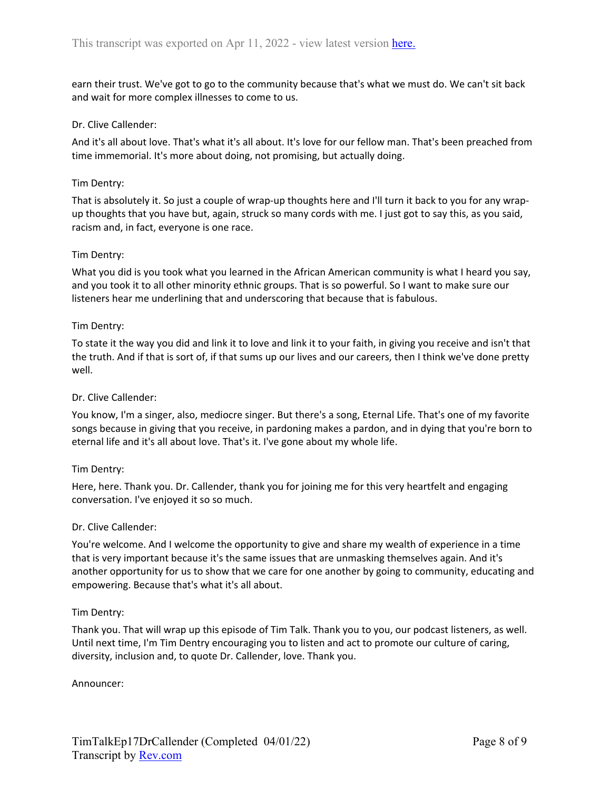earn their trust. We've got to go to the community because that's what we must do. We can't sit back and wait for more complex illnesses to come to us.

## Dr. Clive Callender:

And it's all about love. That's what it's all about. It's love for our fellow man. That's been preached from time immemorial. It's more about doing, not promising, but actually doing.

## Tim Dentry:

That is absolutely it. So just a couple of wrap-up thoughts here and I'll turn it back to you for any wrapup thoughts that you have but, again, struck so many cords with me. I just got to say this, as you said, racism and, in fact, everyone is one race.

# Tim Dentry:

What you did is you took what you learned in the African American community is what I heard you say, and you took it to all other minority ethnic groups. That is so powerful. So I want to make sure our listeners hear me underlining that and underscoring that because that is fabulous.

# Tim Dentry:

To state it the way you did and link it to love and link it to your faith, in giving you receive and isn't that the truth. And if that is sort of, if that sums up our lives and our careers, then I think we've done pretty well.

## Dr. Clive Callender:

You know, I'm a singer, also, mediocre singer. But there's a song, Eternal Life. That's one of my favorite songs because in giving that you receive, in pardoning makes a pardon, and in dying that you're born to eternal life and it's all about love. That's it. I've gone about my whole life.

## Tim Dentry:

Here, here. Thank you. Dr. Callender, thank you for joining me for this very heartfelt and engaging conversation. I've enjoyed it so so much.

## Dr. Clive Callender:

You're welcome. And I welcome the opportunity to give and share my wealth of experience in a time that is very important because it's the same issues that are unmasking themselves again. And it's another opportunity for us to show that we care for one another by going to community, educating and empowering. Because that's what it's all about.

## Tim Dentry:

Thank you. That will wrap up this episode of Tim Talk. Thank you to you, our podcast listeners, as well. Until next time, I'm Tim Dentry encouraging you to listen and act to promote our culture of caring, diversity, inclusion and, to quote Dr. Callender, love. Thank you.

Announcer: